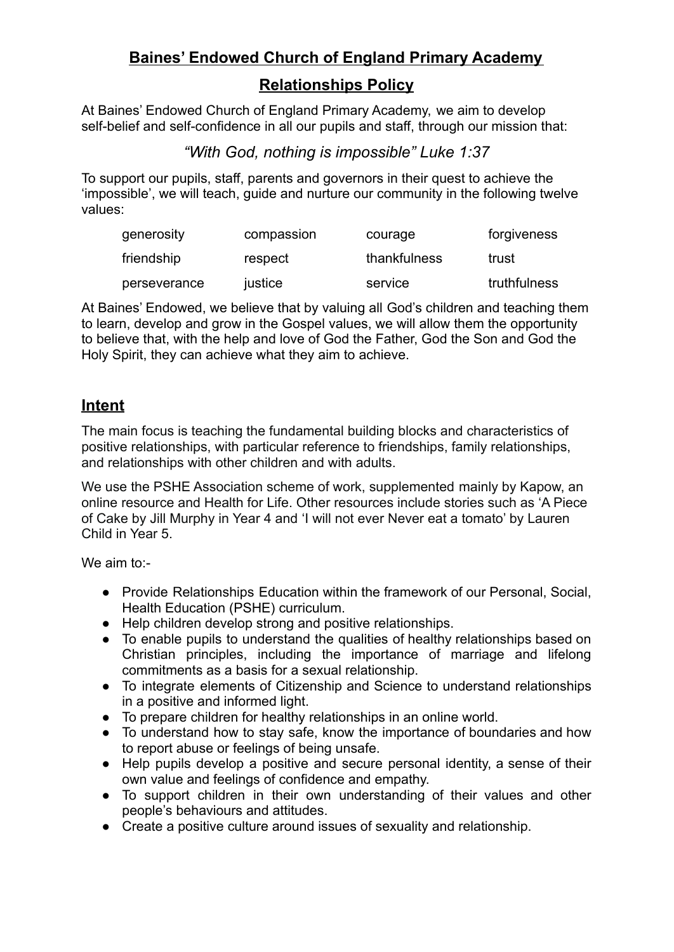# **Baines' Endowed Church of England Primary Academy**

# **Relationships Policy**

At Baines' Endowed Church of England Primary Academy, we aim to develop self-belief and self-confidence in all our pupils and staff, through our mission that:

## *"With God, nothing is impossible" Luke 1:37*

To support our pupils, staff, parents and governors in their quest to achieve the 'impossible', we will teach, guide and nurture our community in the following twelve values:

| generosity   | compassion | courage      | forgiveness  |
|--------------|------------|--------------|--------------|
| friendship   | respect    | thankfulness | trust        |
| perseverance | justice    | service      | truthfulness |

At Baines' Endowed, we believe that by valuing all God's children and teaching them to learn, develop and grow in the Gospel values, we will allow them the opportunity to believe that, with the help and love of God the Father, God the Son and God the Holy Spirit, they can achieve what they aim to achieve.

## **Intent**

The main focus is teaching the fundamental building blocks and characteristics of positive relationships, with particular reference to friendships, family relationships, and relationships with other children and with adults.

We use the PSHE Association scheme of work, supplemented mainly by Kapow, an online resource and Health for Life. Other resources include stories such as 'A Piece of Cake by Jill Murphy in Year 4 and 'I will not ever Never eat a tomato' by Lauren Child in Year 5.

We aim to:-

- Provide Relationships Education within the framework of our Personal, Social, Health Education (PSHE) curriculum.
- Help children develop strong and positive relationships.
- To enable pupils to understand the qualities of healthy relationships based on Christian principles, including the importance of marriage and lifelong commitments as a basis for a sexual relationship.
- To integrate elements of Citizenship and Science to understand relationships in a positive and informed light.
- To prepare children for healthy relationships in an online world.
- To understand how to stay safe, know the importance of boundaries and how to report abuse or feelings of being unsafe.
- Help pupils develop a positive and secure personal identity, a sense of their own value and feelings of confidence and empathy.
- To support children in their own understanding of their values and other people's behaviours and attitudes.
- Create a positive culture around issues of sexuality and relationship.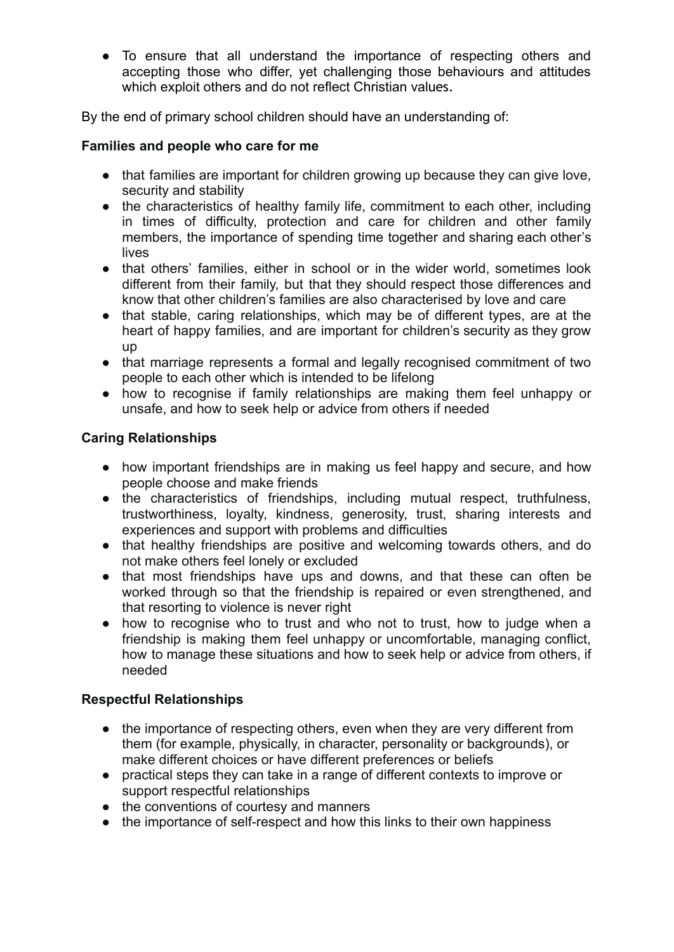● To ensure that all understand the importance of respecting others and accepting those who differ, yet challenging those behaviours and attitudes which exploit others and do not reflect Christian values.

By the end of primary school children should have an understanding of:

#### **Families and people who care for me**

- that families are important for children growing up because they can give love, security and stability
- the characteristics of healthy family life, commitment to each other, including in times of difficulty, protection and care for children and other family members, the importance of spending time together and sharing each other's lives
- that others' families, either in school or in the wider world, sometimes look different from their family, but that they should respect those differences and know that other children's families are also characterised by love and care
- that stable, caring relationships, which may be of different types, are at the heart of happy families, and are important for children's security as they grow up
- that marriage represents a formal and legally recognised commitment of two people to each other which is intended to be lifelong
- how to recognise if family relationships are making them feel unhappy or unsafe, and how to seek help or advice from others if needed

#### **Caring Relationships**

- how important friendships are in making us feel happy and secure, and how people choose and make friends
- the characteristics of friendships, including mutual respect, truthfulness, trustworthiness, loyalty, kindness, generosity, trust, sharing interests and experiences and support with problems and difficulties
- that healthy friendships are positive and welcoming towards others, and do not make others feel lonely or excluded
- that most friendships have ups and downs, and that these can often be worked through so that the friendship is repaired or even strengthened, and that resorting to violence is never right
- how to recognise who to trust and who not to trust, how to judge when a friendship is making them feel unhappy or uncomfortable, managing conflict, how to manage these situations and how to seek help or advice from others, if needed

### **Respectful Relationships**

- the importance of respecting others, even when they are very different from them (for example, physically, in character, personality or backgrounds), or make different choices or have different preferences or beliefs
- practical steps they can take in a range of different contexts to improve or support respectful relationships
- the conventions of courtesy and manners
- the importance of self-respect and how this links to their own happiness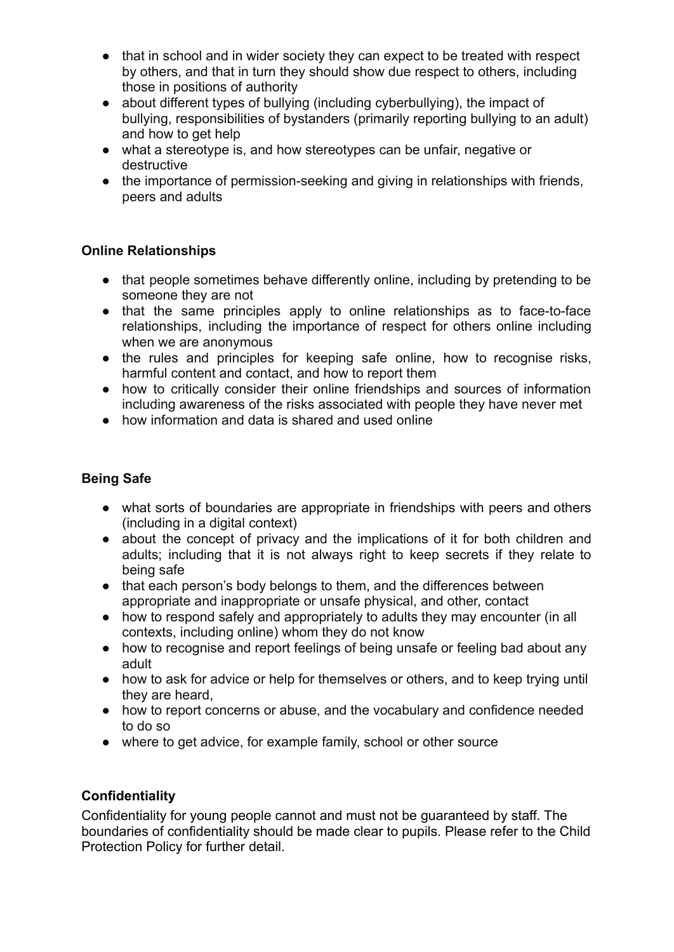- that in school and in wider society they can expect to be treated with respect by others, and that in turn they should show due respect to others, including those in positions of authority
- about different types of bullying (including cyberbullying), the impact of bullying, responsibilities of bystanders (primarily reporting bullying to an adult) and how to get help
- what a stereotype is, and how stereotypes can be unfair, negative or destructive
- the importance of permission-seeking and giving in relationships with friends, peers and adults

### **Online Relationships**

- that people sometimes behave differently online, including by pretending to be someone they are not
- that the same principles apply to online relationships as to face-to-face relationships, including the importance of respect for others online including when we are anonymous
- the rules and principles for keeping safe online, how to recognise risks, harmful content and contact, and how to report them
- how to critically consider their online friendships and sources of information including awareness of the risks associated with people they have never met
- how information and data is shared and used online

### **Being Safe**

- what sorts of boundaries are appropriate in friendships with peers and others (including in a digital context)
- about the concept of privacy and the implications of it for both children and adults; including that it is not always right to keep secrets if they relate to being safe
- that each person's body belongs to them, and the differences between appropriate and inappropriate or unsafe physical, and other, contact
- how to respond safely and appropriately to adults they may encounter (in all contexts, including online) whom they do not know
- how to recognise and report feelings of being unsafe or feeling bad about any adult
- how to ask for advice or help for themselves or others, and to keep trying until they are heard,
- how to report concerns or abuse, and the vocabulary and confidence needed to do so
- where to get advice, for example family, school or other source

### **Confidentiality**

Confidentiality for young people cannot and must not be guaranteed by staff. The boundaries of confidentiality should be made clear to pupils. Please refer to the Child Protection Policy for further detail.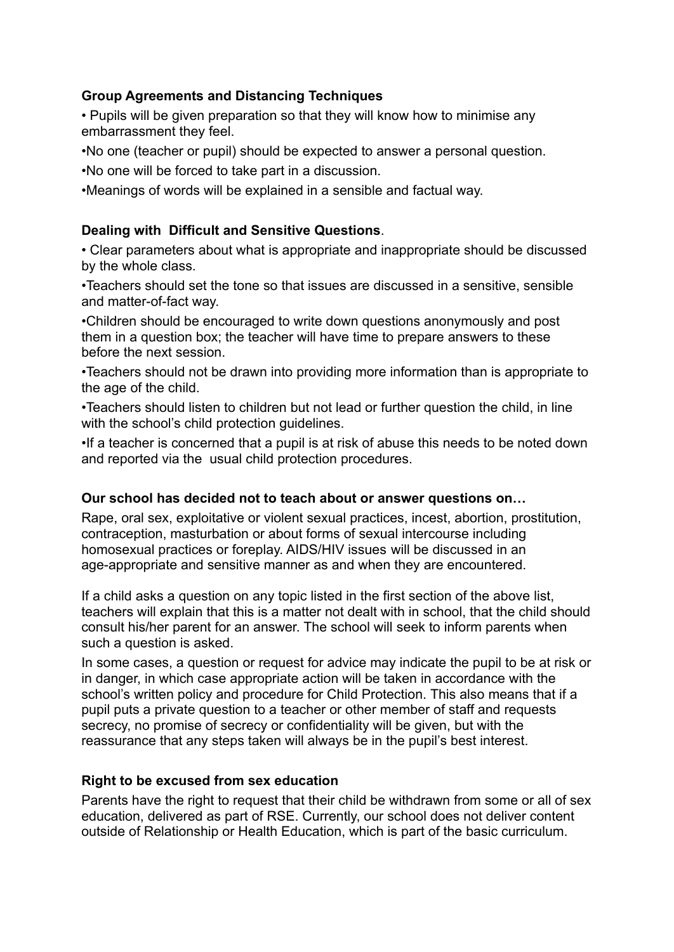### **Group Agreements and Distancing Techniques**

• Pupils will be given preparation so that they will know how to minimise any embarrassment they feel.

•No one (teacher or pupil) should be expected to answer a personal question.

•No one will be forced to take part in a discussion.

•Meanings of words will be explained in a sensible and factual way.

### **Dealing with Difficult and Sensitive Questions**.

• Clear parameters about what is appropriate and inappropriate should be discussed by the whole class.

•Teachers should set the tone so that issues are discussed in a sensitive, sensible and matter-of-fact way.

•Children should be encouraged to write down questions anonymously and post them in a question box; the teacher will have time to prepare answers to these before the next session.

•Teachers should not be drawn into providing more information than is appropriate to the age of the child.

•Teachers should listen to children but not lead or further question the child, in line with the school's child protection guidelines.

•If a teacher is concerned that a pupil is at risk of abuse this needs to be noted down and reported via the usual child protection procedures.

### **Our school has decided not to teach about or answer questions on…**

Rape, oral sex, exploitative or violent sexual practices, incest, abortion, prostitution, contraception, masturbation or about forms of sexual intercourse including homosexual practices or foreplay. AIDS/HIV issues will be discussed in an age-appropriate and sensitive manner as and when they are encountered.

If a child asks a question on any topic listed in the first section of the above list, teachers will explain that this is a matter not dealt with in school, that the child should consult his/her parent for an answer. The school will seek to inform parents when such a question is asked.

In some cases, a question or request for advice may indicate the pupil to be at risk or in danger, in which case appropriate action will be taken in accordance with the school's written policy and procedure for Child Protection. This also means that if a pupil puts a private question to a teacher or other member of staff and requests secrecy, no promise of secrecy or confidentiality will be given, but with the reassurance that any steps taken will always be in the pupil's best interest.

### **Right to be excused from sex education**

Parents have the right to request that their child be withdrawn from some or all of sex education, delivered as part of RSE. Currently, our school does not deliver content outside of Relationship or Health Education, which is part of the basic curriculum.